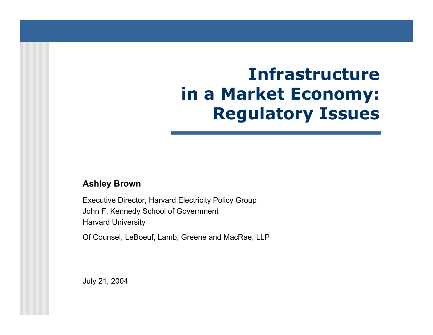# **Infrastructurein a Market Economy: Regulatory Issues**

### **Ashley Brown**

Executi ve Director, Harvard Electricity Policy Group John F. Kennedy School of Governm ent Harvard University

Of Counsel, LeBoeuf, Lamb, Greene and MacRae, LLP

July 21, 2004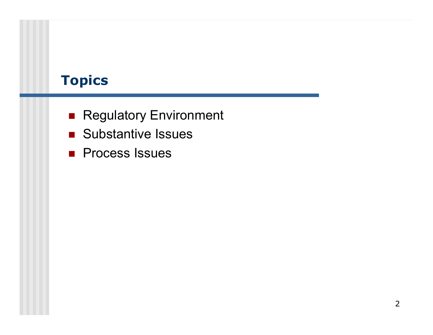## **Topics**

- **Regulatory Environment**
- **Substantive Issues**
- **Process Issues**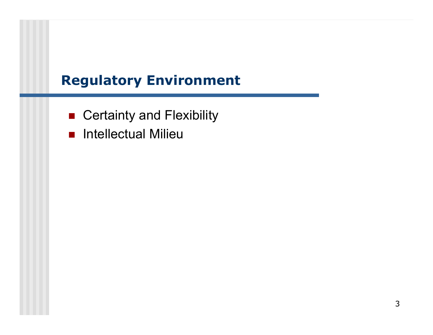## **Regulatory Environment**

- Certainty and Flexibility
- **Reflectual Milieu**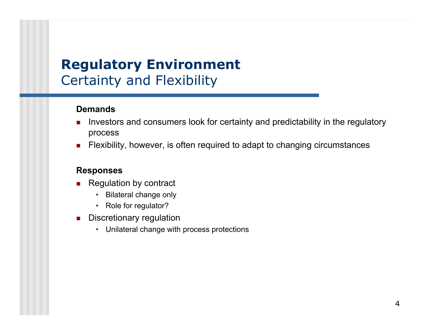## **Regulatory Environment** Certainty and Flexibility

### **Demands**

- Investors and consumers look for certainty and predictability in the regulatory process
- П Flexibility, however, is often required to adapt to changing circumstances

- П Regulation by contract
	- •Bilateral change only
	- Role for regulator?
- П Discretionary regulation
	- •Unilateral change with process protections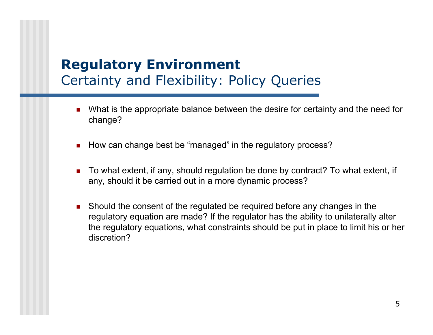## **Regulatory Environment** Certainty and Flexibility: Policy Queries

- П What is the appropriate balance between the desire for certainty and the need for change?
- П How can change best be "managed" in the regulatory process?
- П ■ To what extent, if any, should regulation be done by contract? To what extent, if any, should it be carried out in a more dynamic process?
- Should the consent of the regulated be required before any changes in the regulatory equation are made? If the regulato r has the ability to unilaterally alter the regulatory equations, what constraints should be put in place to limit his or her discretion?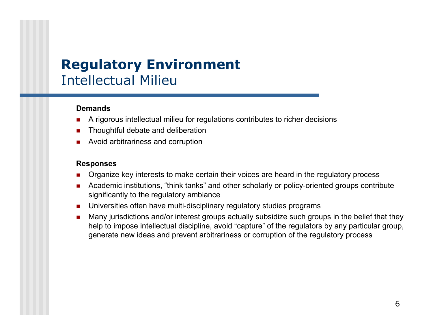## **Regulatory Environment** Intellectual Milieu

### **Demands**

- A rigorous intellectual milieu for regulations contributes to richer decisions
- Thoughtful debate and deliberation
- Avoid arbitrariness and corruption

- Organize key interests to make certain their voices are heard in the regulatory process
- Academic institutions, "think tanks" and other scholarly or policy-oriented groups contribute significantly to the regulatory ambiance
- Universities often have multi-disciplinary regulatory studies programs
- Many jurisdictions and/or interest groups actually subsidize such groups in the belief that they help to impose intellectual discipline, avoid "capture" of the regulators by any particular group, generate new ideas and prevent arbitrariness or corruption of the regulatory process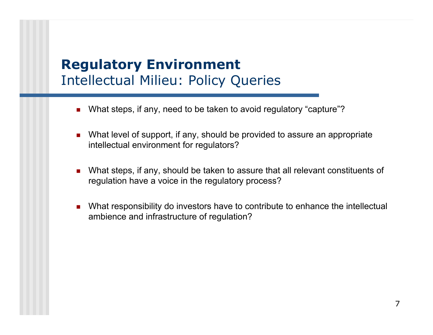## **Regulatory Environment** Intellectual Milieu: Policy Queries

- П ■ What steps, if any, need to be taken to avoid regulatory "capture"?
- What level of support, if any, should be provided to assure an appropriate intellectual environment for regulators?
- What steps, if any, should be taken to assure that all relevant constituents of regulation have a voice in the regulatory process?
- What responsibility do investors have to contribute to enhance the intellectual ambience and infrastructure of regulation?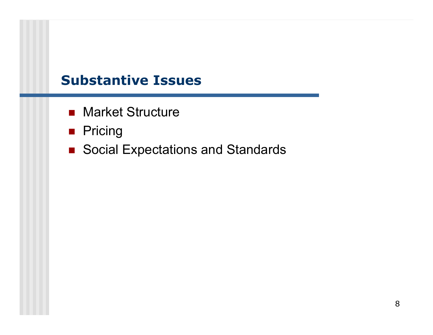### **Substantive Issues**

- **Narket Structure**
- **Reference**
- Social Expectations and Standards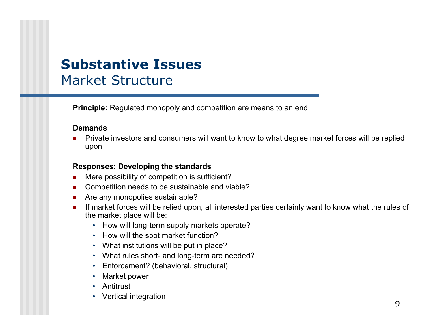## **Substantive Issues**Market Structure

**Principle:** Regulated monopoly and competition are means to an end

#### **Demands**

 Private investors and consumers will want to know to what degree market forces will be replied upon

#### **Responses: Developing the standards**

- Mere possibility of competition is sufficient?
- Competition needs to be sustainable and viable?
- Are any monopolies sustainable?
- **If market forces will be relied upon, all interested parties certainly want to know what the rules of** the market place will be:
	- How will l ong-term supply markets operate?
	- How will the spot market function?
	- What institutions will be put in place?
	- What rules short- and long-term are needed?
	- Enforcement? (behavioral, structural)
	- •Market power
	- Antitrust
	- •Vertical integration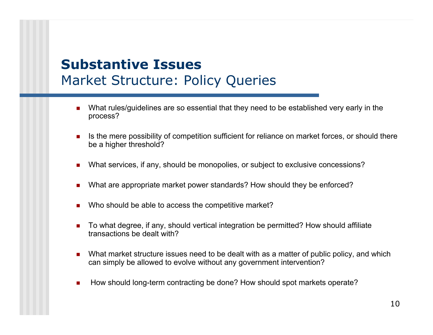## **Substantive Issues**Market Structure: Policy Queries

- What rules/guidelines are so essential that they need to be established very early in the process?
- Is the mere possibility of competition sufficient for reliance on market forces, or should there be a higher threshold?
- What services, if any, should be monopolies, or subject to exclusive concessions?
- What are appropriate market power standards? How should they be enforced?
- Who should be able to access the competitive market?
- To what degree, if any, should vertical integration be permitted? How should affiliate transactions be dealt with?
- What market structure issues need to be dealt with as a matter of public policy, and which can simply be allowed to evolve without any government intervention?
- $\mathcal{L}_{\text{max}}$ How should long-term contracting be done? How should spot markets operate?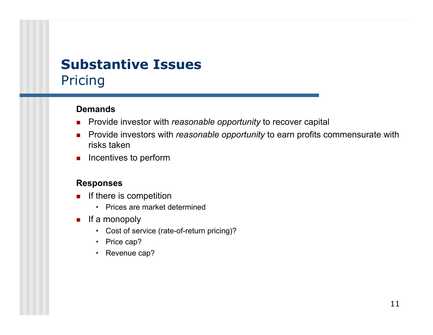## **Substantive Issues**Pricing

### **Demands**

- $\mathcal{L}_{\mathcal{A}}$ Provide investor with *reasonable opportunity* to recover capital
- $\mathcal{L}_{\mathcal{A}}$  Provide investors with *reasonable opportunity* to earn profits commensurate with risks taken
- $\blacksquare$  Incentives to perform

- If there is competition
	- Prices are market determined
- $\mathcal{L}_{\mathcal{A}}$  If a monopoly
	- Cost of service (rate-of-return pricing)?
	- •Price cap?
	- Revenue cap?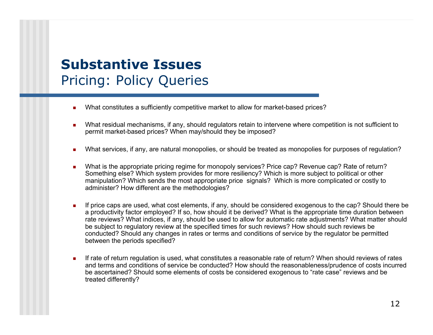## **Substantive Issues**Pricing: Policy Queries

- What constitutes a sufficiently competitive market to allow for market-based prices?
- **Nhat residual mechanisms, if any, should regulators retain to intervene where competition is not sufficient to** permit market-based prices? When may/should they be imposed?
- What services, if any, are natural monopolies, or should be treated as monopolies for purposes of regulation?
- г ■ What is the appropriate pricing regime for monopoly services? Price cap? Revenue cap? Rate of return? Something else? Which system provides for more resiliency? Whi c h is more subject to p olitical or other manipul ation? Which sends the most appropriate price signals? Which is m ore complicated or costly to administer? How different are the methodologies?
- If price caps are used, what cost elements, if any, should be considered exogenous to the cap? Should there be a productivity factor employed? If so, how should it be derived? What is the appropriate time duration between rate reviews? What indices, if any, should be used to allow for automatic rate adjustments? What matter shoul d be subject to regulatory review at the specified times for such reviews? How should such reviews be c onducted? Should any c hanges in r ates or terms and conditions of service by the regulator be p ermitted between the periods specifi ed?
- **If rate of return regulation is used, what constitutes a reasonable rate of return? When should reviews of rates** and terms and conditions of service be conducted? How should the reasonableness/prudence of costs incurred be ascertained? Should some elements of costs be considered exogenous to "rate case" reviews and be treated differently?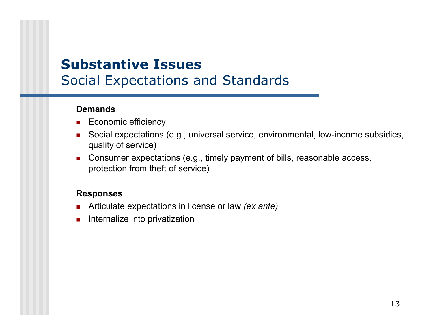## **Substantive Issues**Social Expectations and Standards

### **Demands**

- Economic efficiency
- Social expectations (e.g., universal service, environmental, low-income subsidies, quality of service)
- Consumer expectations (e.g., timely payment of bills, reasonable access, protection from theft of service)

- П Articulate expectations in license or law *(ex ante)*
- $\mathcal{L}_{\mathcal{A}}$ Internalize into privatization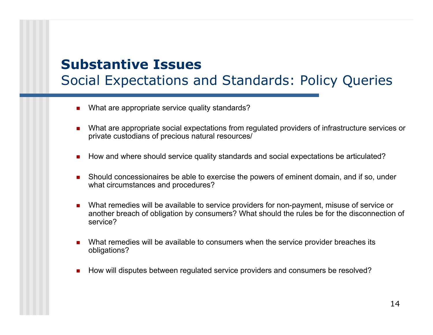## **Substantive Issues**Social Expectations and Standards: Policy Queries

- What are appropriate service quality standards?
- **Numer 2018** What are appropriate social expectations from regulated providers of infrastructure services or private custodians of precious natural resources/
- $\mathcal{L}_{\mathcal{A}}$ How and where should service quality standards and social expectations be articulated?
- **Should concessionaires be able to exercise the powers of eminent domain, and if so, under** what circumstances and procedures?
- What remedies will be available to service providers for non-payment, misuse of service or another breach of obligation by consumers? What should the rules be for the disconnection of service?
- П What remedies will be available to consumers when the service provider breaches its obligations?
- How will disputes between regulated service providers and consumers be resolved?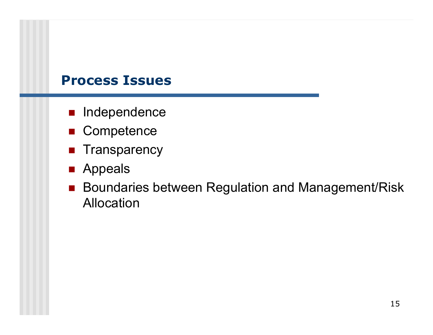### **Process Issues**

- **n** Independence
- Competence
- **Transparency**
- **Appeals**
- Boundaries between Regulation and Management/Risk Allocation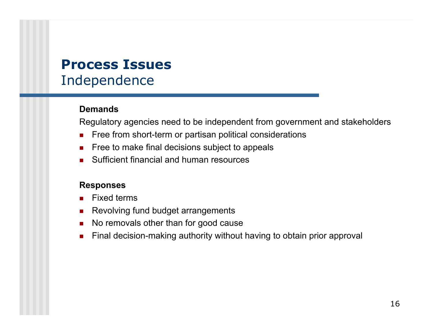## **Process Issues**Independence

### **Demands**

Regulatory agencies need to be independent from government and stakeholders

- П Free from short-term or partisan political considerations
- $\mathcal{L}_{\text{max}}$ Free to make final decisions subject to appeals
- $\mathbf{r}$ Sufficient financial and human resources

- П Fixed terms
- $\mathcal{L}_{\rm{max}}$ Revolving fund budget arrangements
- $\blacksquare$ No removals other than for good cause
- $\blacksquare$ Final decision-making authority without having to obtain prior approval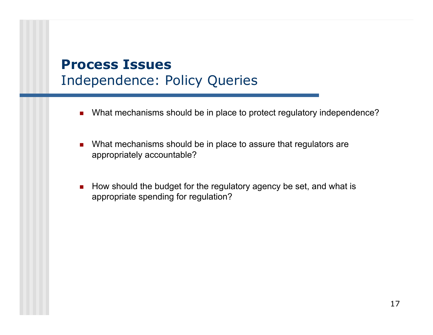## **Process Issues**Independence: Policy Queries

- $\mathcal{L}_{\mathcal{A}}$ What mechanisms should be in place to protect regulatory independence?
- $\mathcal{L}_{\mathcal{A}}$  What mechanisms should be in place to assure that regulators are appropriately accountable?
- How should the budget for the regulatory agency be set, and what is appropriate spending for regulation?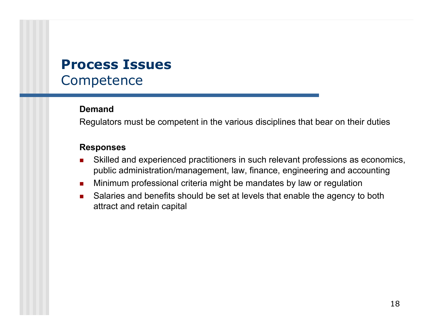## **Process IssuesCompetence**

### **Demand**

Regulators must be competent in the various disciplines that bear on their duties

- П Skilled and experienced practitioners in such relevant professions as economics, public administration/management, law, finance, engineering and accounting
- $\mathcal{L}_{\mathcal{A}}$ Minimum professional criteria might be mandates by law or regulation
- $\mathcal{L}_{\mathcal{A}}$  Salaries and benefits should be set at levels that enable the agency to both attract and retain capital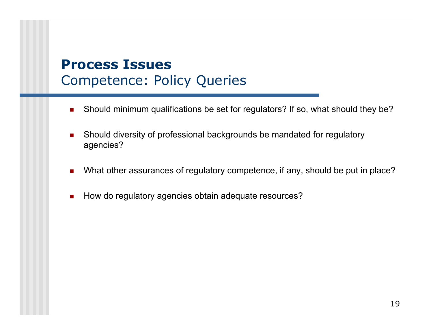## **Process Issues**Competence: Policy Queries

- $\overline{\phantom{a}}$ Should minimum qualifications be set for regulators? If so, what should they be?
- Should diversity of professional backgrounds be mandated for regulatory agencies?
- $\mathcal{L}_{\mathcal{A}}$ What other assurances of regulatory competence, if any, should be put in place?
- How do regulatory agencies obtain adequate resources?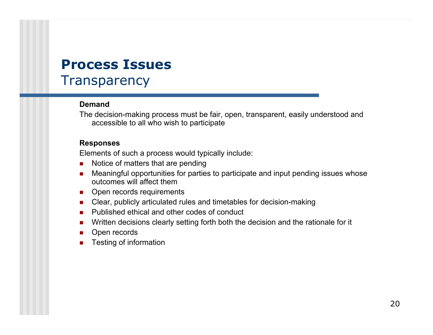## **Process IssuesTransparency**

### **Demand**

The decision-making process must be fair, open, transparent, easily understood and accessible to all who wish to participate

### **Responses**

Elements of such a process would typically include:

- $\blacksquare$ Notice of matters that are pending
- $\mathcal{L}_{\mathcal{A}}$  Meaningful opportunities for parties to participate and input pending issues whose outcomes will affect them
- $\mathcal{L}_{\mathcal{A}}$ Open records requirements
- $\mathcal{L}^{\text{max}}_{\text{max}}$ Clear, publicly articulated rules and timetables for decision-making
- **Published ethical and other codes of conduct**
- $\mathcal{L}_{\mathcal{A}}$ Written decisions clearly setting forth both the decision and the rationale for it
- **The State** Open records
- $\mathcal{L}_{\text{max}}$ Testing of information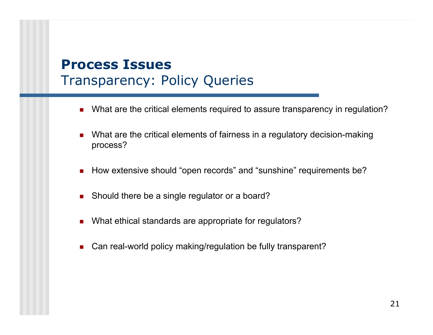## **Process Issues**Transparency: Policy Queries

- $\blacksquare$ What are the critical elements required to assure transparency in regulation?
- $\blacksquare$  What are the critical elements of fairness in a regulatory decision-making process?
- How extensive should "open records" and "sunshine" requirements be?
- $\mathcal{L}_{\mathcal{A}}$ Should there be a single regulator or a board?
- $\mathcal{L}_{\mathcal{A}}$ What ethical standards are appropriate for regulators?
- $\blacksquare$ Can real-world policy making/regulation be fully transparent?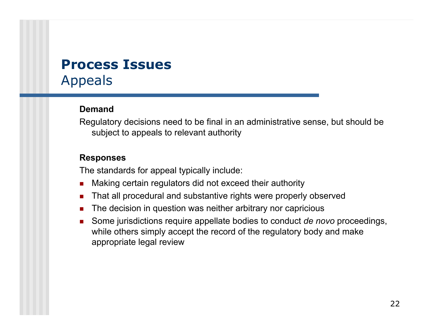## **Process Issues**Appeals

### **Demand**

Regulatory decisions need to be final in an administrative sense, but should be subject to appeals to relevant authority

### **Responses**

The standards for appeal typically include:

- П Making certain regulators did not exceed their authority
- $\mathcal{L}_{\text{max}}$ That all procedural and substantive rights were properly observed
- $\mathcal{L}_{\text{max}}$ The decision in question was neither arbitrary nor capricious
- $\mathcal{L}_{\mathcal{A}}$  Some jurisdictions require appellate bodies to conduct *de novo* proceedings, while others simply accept the record of the regulatory body and make appropriate legal review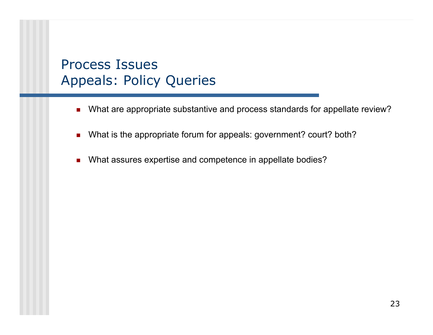## Process IssuesAppeals: Policy Queries

- $\mathcal{L}_{\mathcal{A}}$ What are appropriate substantive and process standards for appellate review?
- What is the appropriate forum for appeals: government? court? both?
- П What assures expertise and competence in appellate bodies?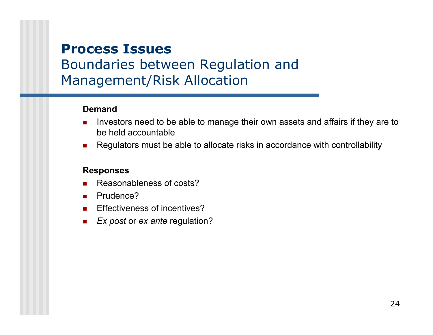## **Process Issues**

## Boundaries between Regulation and Management/Risk Allocation

### **Demand**

- Investors need to be able to manage their own assets and affairs if they are to be held accountable
- $\mathcal{L}_{\mathcal{A}}$ Regulators must be able to allocate risks in accordance with controllability

- П Reasonableness of costs?
- $\mathcal{L}_{\mathcal{A}}$ Prudence?
- $\mathbf{r}$ Effectiveness of incentives?
- $\mathcal{L}_{\text{max}}$ *Ex post* or *ex ante* regulation?